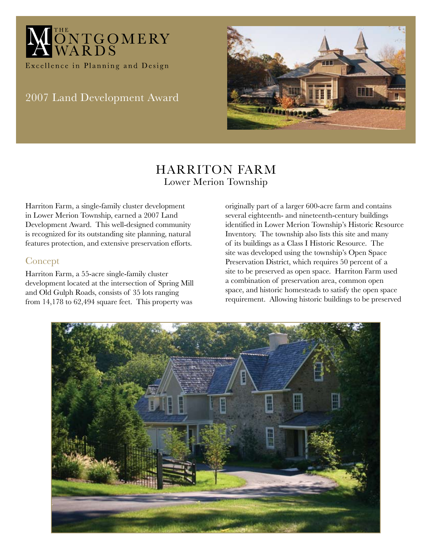

# 2007 Land Development Award



## Harriton Farm Lower Merion Township

Harriton Farm, a single-family cluster development in Lower Merion Township, earned a 2007 Land Development Award. This well-designed community is recognized for its outstanding site planning, natural features protection, and extensive preservation efforts.

#### Concept

Harriton Farm, a 55-acre single-family cluster development located at the intersection of Spring Mill and Old Gulph Roads, consists of 35 lots ranging from 14,178 to 62,494 square feet. This property was

originally part of a larger 600-acre farm and contains several eighteenth- and nineteenth-century buildings identified in Lower Merion Township's Historic Resource Inventory. The township also lists this site and many of its buildings as a Class I Historic Resource. The site was developed using the township's Open Space Preservation District, which requires 50 percent of a site to be preserved as open space. Harriton Farm used a combination of preservation area, common open space, and historic homesteads to satisfy the open space requirement. Allowing historic buildings to be preserved

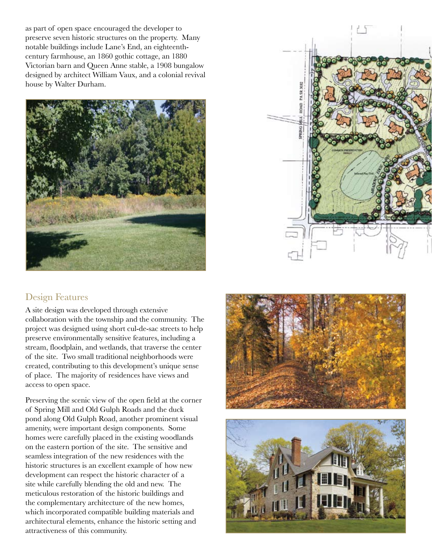as part of open space encouraged the developer to preserve seven historic structures on the property. Many notable buildings include Lane's End, an eighteenthcentury farmhouse, an 1860 gothic cottage, an 1880 Victorian barn and Queen Anne stable, a 1908 bungalow designed by architect William Vaux, and a colonial revival house by Walter Durham.



## Design Features

A site design was developed through extensive collaboration with the township and the community. The project was designed using short cul-de-sac streets to help preserve environmentally sensitive features, including a stream, floodplain, and wetlands, that traverse the center of the site. Two small traditional neighborhoods were created, contributing to this development's unique sense of place. The majority of residences have views and access to open space.

Preserving the scenic view of the open field at the corner of Spring Mill and Old Gulph Roads and the duck pond along Old Gulph Road, another prominent visual amenity, were important design components. Some homes were carefully placed in the existing woodlands on the eastern portion of the site. The sensitive and seamless integration of the new residences with the historic structures is an excellent example of how new development can respect the historic character of a site while carefully blending the old and new. The meticulous restoration of the historic buildings and the complementary architecture of the new homes, which incorporated compatible building materials and architectural elements, enhance the historic setting and attractiveness of this community.



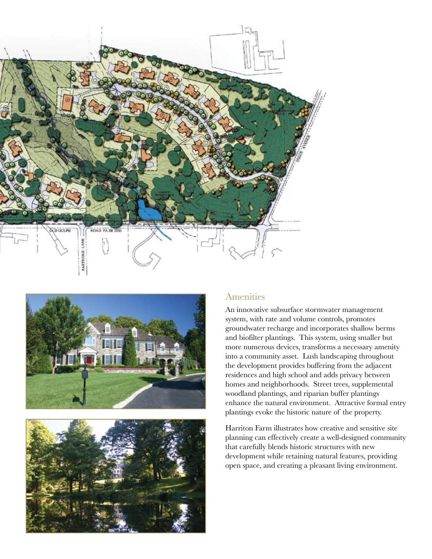





#### Amenities

An innovative subsurface stormwater management system, with rate and volume controls, promotes groundwater recharge and incorporates shallow berms and biofilter plantings. This system, using smaller but more numerous devices, transforms a necessary amenity into a community asset. Lush landscaping throughout the development provides buffering from the adjacent residences and high school and adds privacy between homes and neighborhoods. Street trees, supplemental woodland plantings, and riparian buffer plantings enhance the natural environment. Attractive formal entry plantings evoke the historic nature of the property.

Harriton Farm illustrates how creative and sensitive site planning can effectively create a well-designed community that carefully blends historic structures with new development while retaining natural features, providing open space, and creating a pleasant living environment.